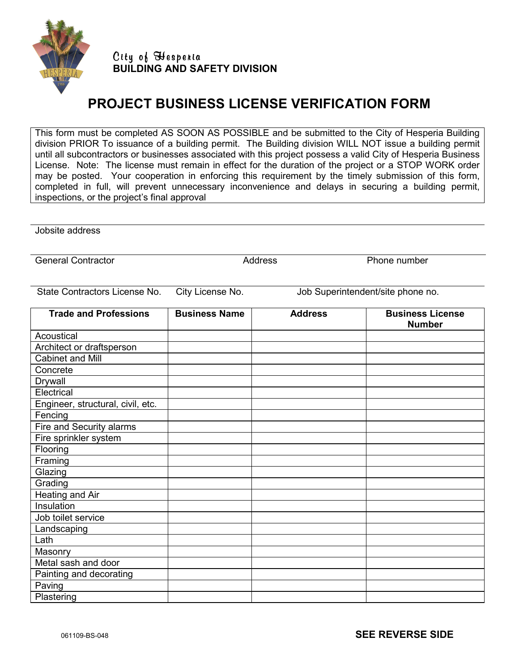

City of Hesperia **BUILDING AND SAFETY DIVISION** 

## **PROJECT BUSINESS LICENSE VERIFICATION FORM**

This form must be completed AS SOON AS POSSIBLE and be submitted to the City of Hesperia Building division PRIOR To issuance of a building permit. The Building division WILL NOT issue a building permit until all subcontractors or businesses associated with this project possess a valid City of Hesperia Business License. Note: The license must remain in effect for the duration of the project or a STOP WORK order may be posted. Your cooperation in enforcing this requirement by the timely submission of this form, completed in full, will prevent unnecessary inconvenience and delays in securing a building permit, inspections, or the project's final approval

Jobsite address

General Contractor **Address** Address **Phone number** Phone number

State Contractors License No. City License No. Job Superintendent/site phone no.

| <b>Trade and Professions</b>      | <b>Business Name</b> | <b>Address</b> | <b>Business License</b><br><b>Number</b> |
|-----------------------------------|----------------------|----------------|------------------------------------------|
| Acoustical                        |                      |                |                                          |
| Architect or draftsperson         |                      |                |                                          |
| <b>Cabinet and Mill</b>           |                      |                |                                          |
| Concrete                          |                      |                |                                          |
| Drywall                           |                      |                |                                          |
| Electrical                        |                      |                |                                          |
| Engineer, structural, civil, etc. |                      |                |                                          |
| Fencing                           |                      |                |                                          |
| Fire and Security alarms          |                      |                |                                          |
| Fire sprinkler system             |                      |                |                                          |
| Flooring                          |                      |                |                                          |
| Framing                           |                      |                |                                          |
| Glazing                           |                      |                |                                          |
| Grading                           |                      |                |                                          |
| Heating and Air                   |                      |                |                                          |
| Insulation                        |                      |                |                                          |
| Job toilet service                |                      |                |                                          |
| Landscaping                       |                      |                |                                          |
| Lath                              |                      |                |                                          |
| Masonry                           |                      |                |                                          |
| Metal sash and door               |                      |                |                                          |
| Painting and decorating           |                      |                |                                          |
| Paving                            |                      |                |                                          |
| Plastering                        |                      |                |                                          |